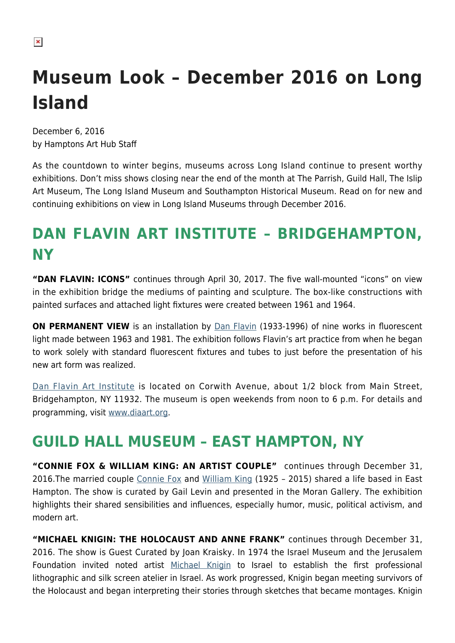#### $\pmb{\times}$

# **Museum Look – December 2016 on Long Island**

December 6, 2016 by Hamptons Art Hub Staff

As the countdown to winter begins, museums across Long Island continue to present worthy exhibitions. Don't miss shows closing near the end of the month at The Parrish, Guild Hall, The Islip Art Museum, The Long Island Museum and Southampton Historical Museum. Read on for new and continuing exhibitions on view in Long Island Museums through December 2016.

### **DAN FLAVIN ART INSTITUTE – BRIDGEHAMPTON, NY**

**"DAN FLAVIN: ICONS"** continues through April 30, 2017. The five wall-mounted "icons" on view in the exhibition bridge the mediums of painting and sculpture. The box-like constructions with painted surfaces and attached light fixtures were created between 1961 and 1964.

**ON PERMANENT VIEW** is an installation by [Dan Flavin](https://en.wikipedia.org/wiki/Dan_Flavin) (1933-1996) of nine works in fluorescent light made between 1963 and 1981. The exhibition follows Flavin's art practice from when he began to work solely with standard fluorescent fixtures and tubes to just before the presentation of his new art form was realized.

[Dan Flavin Art Institute](https://hamptonsarthub.com/museum-guide/dan-flavin-art-institute/) is located on Corwith Avenue, about 1/2 block from Main Street, Bridgehampton, NY 11932. The museum is open weekends from noon to 6 p.m. For details and programming, visit [www.diaart.org.](http://www.diaart.org/)

### **GUILD HALL MUSEUM – EAST HAMPTON, NY**

**"CONNIE FOX & WILLIAM KING: AN ARTIST COUPLE"** continues through December 31, 2016.The married couple [Connie Fox](https://hamptonsarthub.com/2016/03/04/talking-with-connie-fox/) and [William King](https://hamptonsarthub.com/2015/03/10/william-king-remembered/) (1925 - 2015) shared a life based in East Hampton. The show is curated by Gail Levin and presented in the Moran Gallery. The exhibition highlights their shared sensibilities and influences, especially humor, music, political activism, and modern art.

**"MICHAEL KNIGIN: THE HOLOCAUST AND ANNE FRANK"** continues through December 31, 2016. The show is Guest Curated by Joan Kraisky. In 1974 the Israel Museum and the Jerusalem Foundation invited noted artist [Michael Knigin](http://www.michaelknigin.net/) to Israel to establish the first professional lithographic and silk screen atelier in Israel. As work progressed, Knigin began meeting survivors of the Holocaust and began interpreting their stories through sketches that became montages. Knigin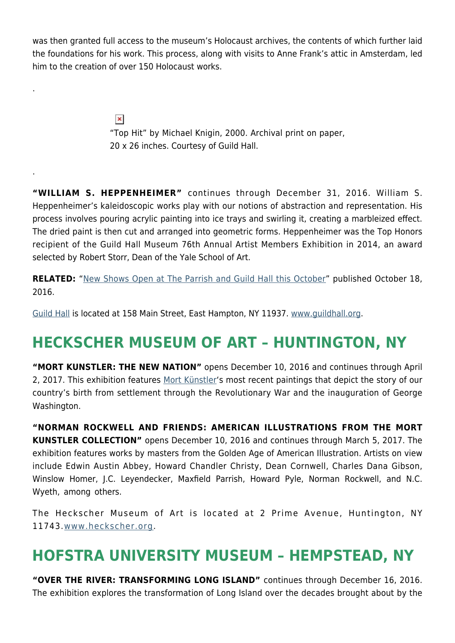was then granted full access to the museum's Holocaust archives, the contents of which further laid the foundations for his work. This process, along with visits to Anne Frank's attic in Amsterdam, led him to the creation of over 150 Holocaust works.

> $\pmb{\times}$ "Top Hit" by Michael Knigin, 2000. Archival print on paper, 20 x 26 inches. Courtesy of Guild Hall.

.

.

**"WILLIAM S. HEPPENHEIMER"** continues through December 31, 2016. William S. Heppenheimer's kaleidoscopic works play with our notions of abstraction and representation. His process involves pouring acrylic painting into ice trays and swirling it, creating a marbleized effect. The dried paint is then cut and arranged into geometric forms. Heppenheimer was the Top Honors recipient of the Guild Hall Museum 76th Annual Artist Members Exhibition in 2014, an award selected by Robert Storr, Dean of the Yale School of Art.

**RELATED:** "[New Shows Open at The Parrish and Guild Hall this October](https://hamptonsarthub.com/2016/10/18/exhibitions-new-shows-open-at-the-parrish-and-guild-hall-this-october/)" published October 18, 2016.

[Guild Hall](https://hamptonsarthub.com/museum-guide/guild-hall/) is located at 158 Main Street, East Hampton, NY 11937. [www.guildhall.org](http://www.guildhall.org/).

### **HECKSCHER MUSEUM OF ART – HUNTINGTON, NY**

**"MORT KUNSTLER: THE NEW NATION"** opens December 10, 2016 and continues through April 2, 2017. This exhibition features [Mort Künstler'](https://www.mortkunstler.com/)s most recent paintings that depict the story of our country's birth from settlement through the Revolutionary War and the inauguration of George Washington.

**"NORMAN ROCKWELL AND FRIENDS: AMERICAN ILLUSTRATIONS FROM THE MORT KUNSTLER COLLECTION"** opens December 10, 2016 and continues through March 5, 2017. The exhibition features works by masters from the Golden Age of American Illustration. Artists on view include Edwin Austin Abbey, Howard Chandler Christy, Dean Cornwell, Charles Dana Gibson, Winslow Homer, J.C. Leyendecker, Maxfield Parrish, Howard Pyle, Norman Rockwell, and N.C. Wyeth, among others.

The Heckscher Museum of Art is located at 2 Prime Avenue, Huntington, NY 11743.[www.heckscher.org.](http://www.heckscher.org/)

### **HOFSTRA UNIVERSITY MUSEUM – HEMPSTEAD, NY**

**"OVER THE RIVER: TRANSFORMING LONG ISLAND"** continues through December 16, 2016. The exhibition explores the transformation of Long Island over the decades brought about by the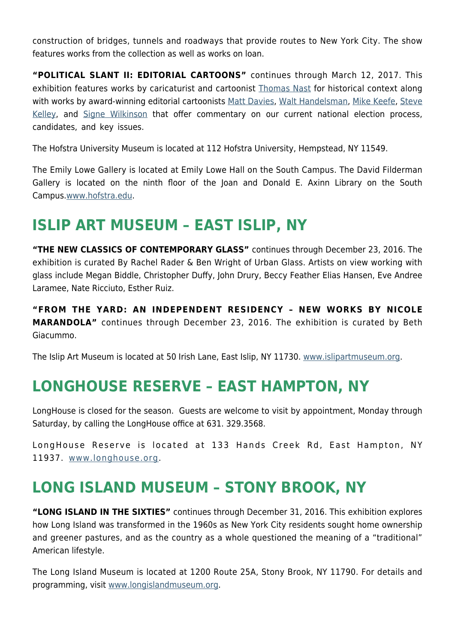construction of bridges, tunnels and roadways that provide routes to New York City. The show features works from the collection as well as works on loan.

**"POLITICAL SLANT II: EDITORIAL CARTOONS"** continues through March 12, 2017. This exhibition features works by caricaturist and cartoonist [Thomas Nast](https://en.wikipedia.org/wiki/Thomas_Nast) for historical context along with works by award-winning editorial cartoonists [Matt Davies,](http://www.gocomics.com/mattdavies) [Walt Handelsman](http://www.walthandelsman.com/), [Mike Keefe](http://www.intoon.com/), [Steve](http://www.gocomics.com/stevekelley) [Kelley](http://www.gocomics.com/stevekelley), and [Signe Wilkinson](http://www.gocomics.com/signewilkinson) that offer commentary on our current national election process, candidates, and key issues.

The Hofstra University Museum is located at 112 Hofstra University, Hempstead, NY 11549.

The Emily Lowe Gallery is located at Emily Lowe Hall on the South Campus. The David Filderman Gallery is located on the ninth floor of the Joan and Donald E. Axinn Library on the South Campus.[www.hofstra.edu](http://www.hofstra.edu/).

#### **ISLIP ART MUSEUM – EAST ISLIP, NY**

**"THE NEW CLASSICS OF CONTEMPORARY GLASS"** continues through December 23, 2016. The exhibition is curated By Rachel Rader & Ben Wright of Urban Glass. Artists on view working with glass include Megan Biddle, Christopher Duffy, John Drury, Beccy Feather Elias Hansen, Eve Andree Laramee, Nate Ricciuto, Esther Ruiz.

**"FROM THE YARD: AN INDEPENDENT RESIDENCY – NEW WORKS BY NICOLE MARANDOLA"** continues through December 23, 2016. The exhibition is curated by Beth Giacummo.

The Islip Art Museum is located at 50 Irish Lane, East Islip, NY 11730. [www.islipartmuseum.org.](http://www.islipartmuseum.org/)

#### **LONGHOUSE RESERVE – EAST HAMPTON, NY**

LongHouse is closed for the season. Guests are welcome to visit by appointment, Monday through Saturday, by calling the LongHouse office at 631. 329.3568.

LongHouse Reserve is located at 133 Hands Creek Rd, East Hampton, NY 11937. [www.longhouse.org.](http://www.longhouse.org/)

### **LONG ISLAND MUSEUM – STONY BROOK, NY**

**"LONG ISLAND IN THE SIXTIES"** continues through December 31, 2016. This exhibition explores how Long Island was transformed in the 1960s as New York City residents sought home ownership and greener pastures, and as the country as a whole questioned the meaning of a "traditional" American lifestyle.

The Long Island Museum is located at 1200 Route 25A, Stony Brook, NY 11790. For details and programming, visit [www.longislandmuseum.org.](http://www.longislandmuseum.org/)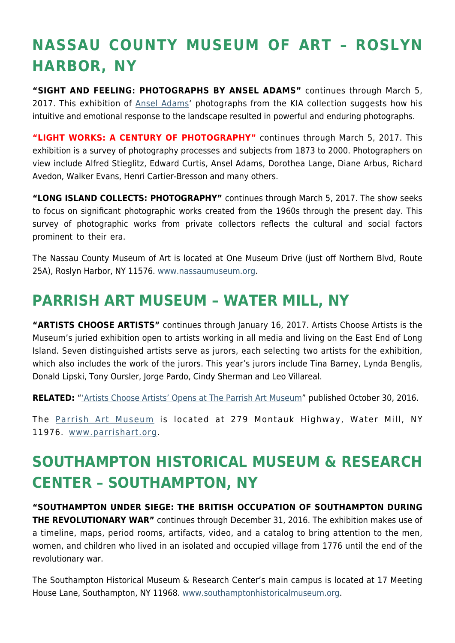## **NASSAU COUNTY MUSEUM OF ART – ROSLYN HARBOR, NY**

**"SIGHT AND FEELING: PHOTOGRAPHS BY ANSEL ADAMS"** continues through March 5, 2017. This exhibition of [Ansel Adams'](http://anseladams.com/) photographs from the KIA collection suggests how his intuitive and emotional response to the landscape resulted in powerful and enduring photographs.

**"LIGHT WORKS: A CENTURY OF PHOTOGRAPHY"** continues through March 5, 2017. This exhibition is a survey of photography processes and subjects from 1873 to 2000. Photographers on view include Alfred Stieglitz, Edward Curtis, Ansel Adams, Dorothea Lange, Diane Arbus, Richard Avedon, Walker Evans, Henri Cartier-Bresson and many others.

**"LONG ISLAND COLLECTS: PHOTOGRAPHY"** continues through March 5, 2017. The show seeks to focus on significant photographic works created from the 1960s through the present day. This survey of photographic works from private collectors reflects the cultural and social factors prominent to their era.

The Nassau County Museum of Art is located at One Museum Drive (just off Northern Blvd, Route 25A), Roslyn Harbor, NY 11576. [www.nassaumuseum.org](http://www.nassaumuseum.org/).

### **PARRISH ART MUSEUM – WATER MILL, NY**

**"ARTISTS CHOOSE ARTISTS"** continues through January 16, 2017. Artists Choose Artists is the Museum's juried exhibition open to artists working in all media and living on the East End of Long Island. Seven distinguished artists serve as jurors, each selecting two artists for the exhibition, which also includes the work of the jurors. This year's jurors include Tina Barney, Lynda Benglis, Donald Lipski, Tony Oursler, Jorge Pardo, Cindy Sherman and Leo Villareal.

**RELATED:** "['Artists Choose Artists' Opens at The Parrish Art Museum](https://hamptonsarthub.com/2016/10/30/exhibitions-artists-choose-artists-opens-at-the-parrish-art-museum/)" published October 30, 2016.

The [Parrish Art Museum](https://hamptonsarthub.com/museum-guide/the-parrish-art-museum/) is located at 279 Montauk Highway, Water Mill, NY 11976. [www.parrishart.org.](http://www.parrishart.org/)

### **SOUTHAMPTON HISTORICAL MUSEUM & RESEARCH CENTER – SOUTHAMPTON, NY**

**"SOUTHAMPTON UNDER SIEGE: THE BRITISH OCCUPATION OF SOUTHAMPTON DURING THE REVOLUTIONARY WAR"** continues through December 31, 2016. The exhibition makes use of a timeline, maps, period rooms, artifacts, video, and a catalog to bring attention to the men, women, and children who lived in an isolated and occupied village from 1776 until the end of the revolutionary war.

The Southampton Historical Museum & Research Center's main campus is located at 17 Meeting House Lane, Southampton, NY 11968. [www.southamptonhistoricalmuseum.org](http://www.southamptonhistoricalmuseum.org/).